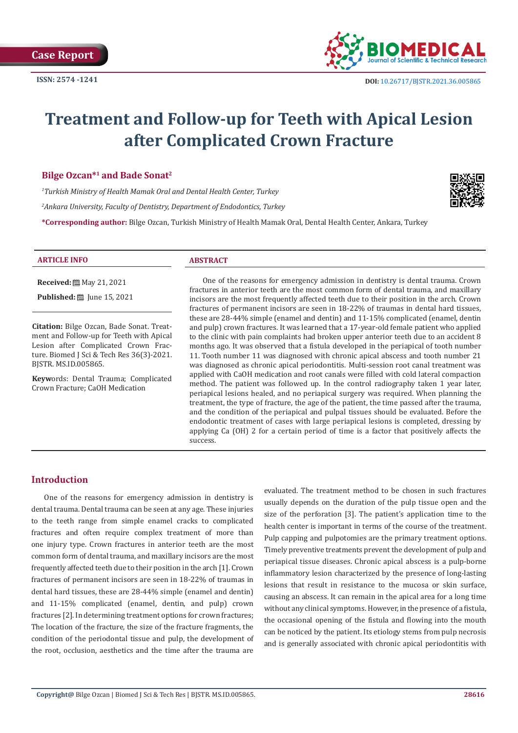

# **Treatment and Follow-up for Teeth with Apical Lesion after Complicated Crown Fracture**

#### **Bilge Ozcan\*1 and Bade Sonat2**

*1 Turkish Ministry of Health Mamak Oral and Dental Health Center, Turkey 2 Ankara University, Faculty of Dentistry, Department of Endodontics, Turkey* **\*Corresponding author:** Bilge Ozcan, Turkish Ministry of Health Mamak Oral, Dental Health Center, Ankara, Turkey



# **ARTICLE INFO ABSTRACT**

**Received:** 圖 May 21, 2021

**Published:** ■ June 15, 2021

**Citation:** Bilge Ozcan, Bade Sonat. Treatment and Follow-up for Teeth with Apical Lesion after Complicated Crown Fracture. Biomed J Sci & Tech Res 36(3)-2021. BJSTR. MS.ID.005865.

**Keyw**ords: Dental Trauma; Complicated Crown Fracture; CaOH Medication

One of the reasons for emergency admission in dentistry is dental trauma. Crown fractures in anterior teeth are the most common form of dental trauma, and maxillary incisors are the most frequently affected teeth due to their position in the arch. Crown fractures of permanent incisors are seen in 18-22% of traumas in dental hard tissues, these are 28-44% simple (enamel and dentin) and 11-15% complicated (enamel, dentin and pulp) crown fractures. It was learned that a 17-year-old female patient who applied to the clinic with pain complaints had broken upper anterior teeth due to an accident 8 months ago. It was observed that a fistula developed in the periapical of tooth number 11. Tooth number 11 was diagnosed with chronic apical abscess and tooth number 21 was diagnosed as chronic apical periodontitis. Multi-session root canal treatment was applied with CaOH medication and root canals were filled with cold lateral compaction method. The patient was followed up. In the control radiography taken 1 year later, periapical lesions healed, and no periapical surgery was required. When planning the treatment, the type of fracture, the age of the patient, the time passed after the trauma, and the condition of the periapical and pulpal tissues should be evaluated. Before the endodontic treatment of cases with large periapical lesions is completed, dressing by applying Ca (OH) 2 for a certain period of time is a factor that positively affects the success.

# **Introduction**

One of the reasons for emergency admission in dentistry is dental trauma. Dental trauma can be seen at any age. These injuries to the teeth range from simple enamel cracks to complicated fractures and often require complex treatment of more than one injury type. Crown fractures in anterior teeth are the most common form of dental trauma, and maxillary incisors are the most frequently affected teeth due to their position in the arch [1]. Crown fractures of permanent incisors are seen in 18-22% of traumas in dental hard tissues, these are 28-44% simple (enamel and dentin) and 11-15% complicated (enamel, dentin, and pulp) crown fractures [2]. In determining treatment options for crown fractures; The location of the fracture, the size of the fracture fragments, the condition of the periodontal tissue and pulp, the development of the root, occlusion, aesthetics and the time after the trauma are

evaluated. The treatment method to be chosen in such fractures usually depends on the duration of the pulp tissue open and the size of the perforation [3]. The patient's application time to the health center is important in terms of the course of the treatment. Pulp capping and pulpotomies are the primary treatment options. Timely preventive treatments prevent the development of pulp and periapical tissue diseases. Chronic apical abscess is a pulp-borne inflammatory lesion characterized by the presence of long-lasting lesions that result in resistance to the mucosa or skin surface, causing an abscess. It can remain in the apical area for a long time without any clinical symptoms. However, in the presence of a fistula, the occasional opening of the fistula and flowing into the mouth can be noticed by the patient. Its etiology stems from pulp necrosis and is generally associated with chronic apical periodontitis with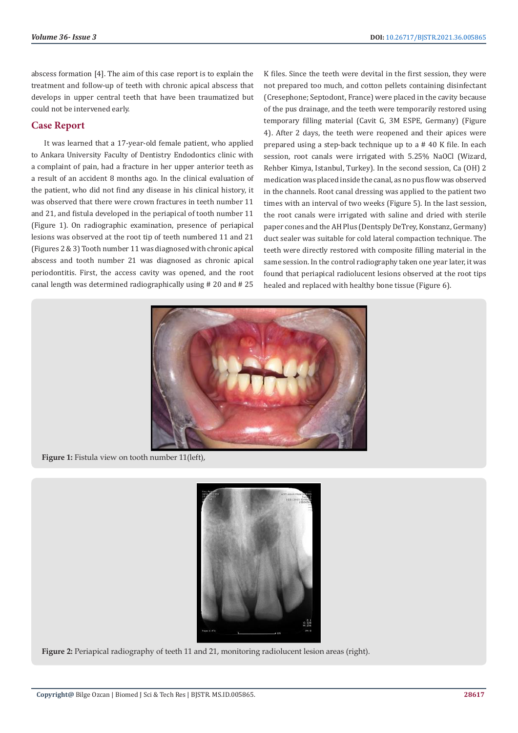abscess formation [4]. The aim of this case report is to explain the treatment and follow-up of teeth with chronic apical abscess that develops in upper central teeth that have been traumatized but could not be intervened early.

### **Case Report**

It was learned that a 17-year-old female patient, who applied to Ankara University Faculty of Dentistry Endodontics clinic with a complaint of pain, had a fracture in her upper anterior teeth as a result of an accident 8 months ago. In the clinical evaluation of the patient, who did not find any disease in his clinical history, it was observed that there were crown fractures in teeth number 11 and 21, and fistula developed in the periapical of tooth number 11 (Figure 1). On radiographic examination, presence of periapical lesions was observed at the root tip of teeth numbered 11 and 21 (Figures 2 & 3) Tooth number 11 was diagnosed with chronic apical abscess and tooth number 21 was diagnosed as chronic apical periodontitis. First, the access cavity was opened, and the root canal length was determined radiographically using # 20 and # 25

K files. Since the teeth were devital in the first session, they were not prepared too much, and cotton pellets containing disinfectant (Cresephone; Septodont, France) were placed in the cavity because of the pus drainage, and the teeth were temporarily restored using temporary filling material (Cavit G, 3M ESPE, Germany) (Figure 4). After 2 days, the teeth were reopened and their apices were prepared using a step-back technique up to a # 40 K file. In each session, root canals were irrigated with 5.25% NaOCl (Wizard, Rehber Kimya, Istanbul, Turkey). In the second session, Ca (OH) 2 medication was placed inside the canal, as no pus flow was observed in the channels. Root canal dressing was applied to the patient two times with an interval of two weeks (Figure 5). In the last session, the root canals were irrigated with saline and dried with sterile paper cones and the AH Plus (Dentsply DeTrey, Konstanz, Germany) duct sealer was suitable for cold lateral compaction technique. The teeth were directly restored with composite filling material in the same session. In the control radiography taken one year later, it was found that periapical radiolucent lesions observed at the root tips healed and replaced with healthy bone tissue (Figure 6).



**Figure 1:** Fistula view on tooth number 11(left),



**Figure 2:** Periapical radiography of teeth 11 and 21, monitoring radiolucent lesion areas (right).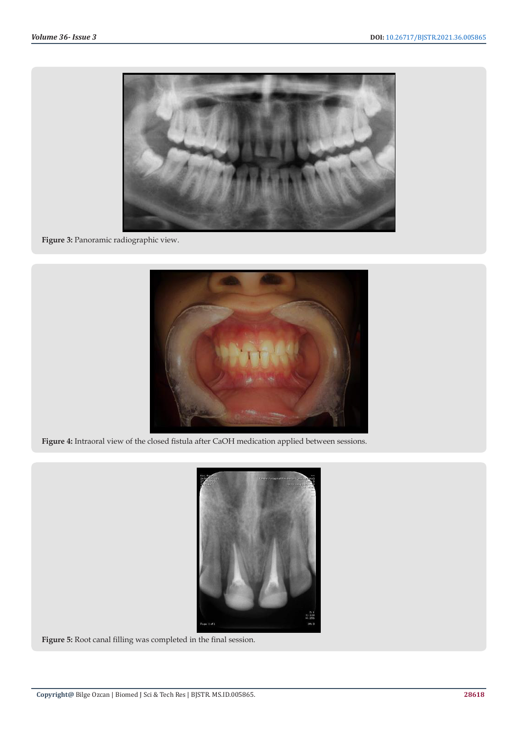

**Figure 3:** Panoramic radiographic view.



**Figure 4:** Intraoral view of the closed fistula after CaOH medication applied between sessions.



**Figure 5:** Root canal filling was completed in the final session.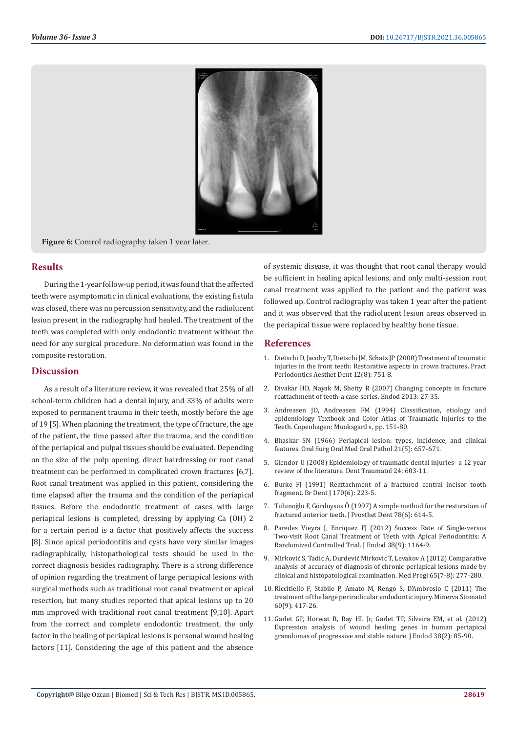

**Figure 6:** Control radiography taken 1 year later.

#### **Results**

During the 1-year follow-up period, it was found that the affected teeth were asymptomatic in clinical evaluations, the existing fistula was closed, there was no percussion sensitivity, and the radiolucent lesion present in the radiography had healed. The treatment of the teeth was completed with only endodontic treatment without the need for any surgical procedure. No deformation was found in the composite restoration.

#### **Discussion**

As a result of a literature review, it was revealed that 25% of all school-term children had a dental injury, and 33% of adults were exposed to permanent trauma in their teeth, mostly before the age of 19 [5]. When planning the treatment, the type of fracture, the age of the patient, the time passed after the trauma, and the condition of the periapical and pulpal tissues should be evaluated. Depending on the size of the pulp opening, direct hairdressing or root canal treatment can be performed in complicated crown fractures [6,7]. Root canal treatment was applied in this patient, considering the time elapsed after the trauma and the condition of the periapical tissues. Before the endodontic treatment of cases with large periapical lesions is completed, dressing by applying Ca (OH) 2 for a certain period is a factor that positively affects the success [8]. Since apical periodontitis and cysts have very similar images radiographically, histopathological tests should be used in the correct diagnosis besides radiography. There is a strong difference of opinion regarding the treatment of large periapical lesions with surgical methods such as traditional root canal treatment or apical resection, but many studies reported that apical lesions up to 20 mm improved with traditional root canal treatment [9,10]. Apart from the correct and complete endodontic treatment, the only factor in the healing of periapical lesions is personal wound healing factors [11]. Considering the age of this patient and the absence

of systemic disease, it was thought that root canal therapy would be sufficient in healing apical lesions, and only multi-session root canal treatment was applied to the patient and the patient was followed up. Control radiography was taken 1 year after the patient and it was observed that the radiolucent lesion areas observed in the periapical tissue were replaced by healthy bone tissue.

#### **References**

- 1. [Dietschi D, Jacoby T, Dietschi JM, Schatz JP \(2000\) Treatment of traumatic](https://pubmed.ncbi.nlm.nih.gov/11404871/) [injuries in the front teeth: Restorative aspects in crown fractures. Pract](https://pubmed.ncbi.nlm.nih.gov/11404871/) [Periodontics Aesthet Dent 12\(8\): 751-8.](https://pubmed.ncbi.nlm.nih.gov/11404871/)
- 2. Divakar HD, Nayak M, Shetty R (2007) Changing concepts in fracture reattachment of teeth-a case series. Endod 2013: 27-35.
- 3. Andreasen JO, Andreasen FM (1994) Classification, etiology and epidemiology Textbook and Color Atlas of Traumatic Injuries to the Teeth. Copenhagen: Munksgard s, pp. 151-80.
- 4. [Bhaskar SN \(1966\) Periapical lesion: types, incidence, and clinical](https://pubmed.ncbi.nlm.nih.gov/5218749/) [features. Oral Surg Oral Med Oral Pathol 21\(5\): 657-671.](https://pubmed.ncbi.nlm.nih.gov/5218749/)
- 5. [Glendor U \(2008\) Epidemiology of traumatic dental injuries- a 12 year](https://pubmed.ncbi.nlm.nih.gov/19021651/) review of the literatü[re. Dent Traumatol 24: 603-11.](https://pubmed.ncbi.nlm.nih.gov/19021651/)
- 6. [Burke FJ \(1991\) Reattachment of a fractured central incisor tooth](https://pubmed.ncbi.nlm.nih.gov/2021496/) [fragment. Br Dent J 170\(6\): 223-5.](https://pubmed.ncbi.nlm.nih.gov/2021496/)
- 7. Tulunoğlu F, G[örduysus Ö \(1997\) A simple method for the restoration of](https://pubmed.ncbi.nlm.nih.gov/9421792/) [fractured anterior teeth. J Prosthet Dent 78\(6\): 614-5.](https://pubmed.ncbi.nlm.nih.gov/9421792/)
- 8. [Paredes Vieyra J, Enriquez FJ \(2012\) Success Rate of Single-versus](https://pubmed.ncbi.nlm.nih.gov/22892729/) [Two-visit Root Canal Treatment of Teeth with Apical Periodontitis: A](https://pubmed.ncbi.nlm.nih.gov/22892729/) [Randomized Controlled Trial. J Endod 38\(9\): 1164-9.](https://pubmed.ncbi.nlm.nih.gov/22892729/)
- 9. Mirković S, Tadić A, Durdević Mirković [T, Levakov A \(2012\) Comparative](https://pubmed.ncbi.nlm.nih.gov/22924245/) [analysis of accuracy of diagnosis of chronic periapical lesions made by](https://pubmed.ncbi.nlm.nih.gov/22924245/) [clinical and histopatological examination. Med Pregl 65\(7-8\): 277-280.](https://pubmed.ncbi.nlm.nih.gov/22924245/)
- 10. [Riccitiello F, Stabile P, Amato M, Rengo S, D'Ambrosio C \(2011\) The](https://pubmed.ncbi.nlm.nih.gov/21956349/) [treatment of the large periradicular endodontic injury. Minerva Stomatol](https://pubmed.ncbi.nlm.nih.gov/21956349/) [60\(9\): 417-26.](https://pubmed.ncbi.nlm.nih.gov/21956349/)
- 11. [Garlet GP, Horwat R, Ray HL Jr, Garlet TP, Silveira EM, et al. \(2012\)](https://pubmed.ncbi.nlm.nih.gov/22244633/) [Expression analysis of wound healing genes in human periapical](https://pubmed.ncbi.nlm.nih.gov/22244633/) [granulomas of progressive and stable nature. J Endod 38\(2\): 85-90.](https://pubmed.ncbi.nlm.nih.gov/22244633/)